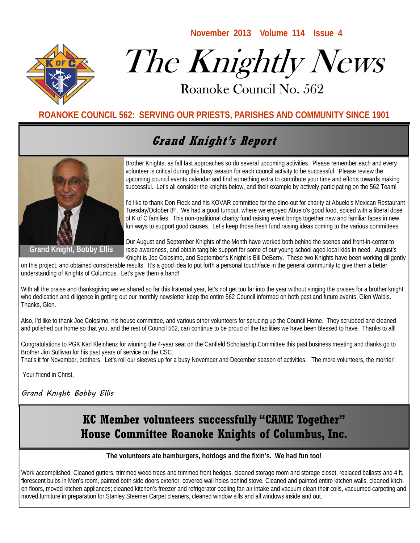

# The Knightly News

**November 2013 Volume 114 Issue 4** 

Roanoke Council No. 562 Roanoke Council No. 562

#### **ROANOKE COUNCIL 562: SERVING OUR PRIESTS, PARISHES AND COMMUNITY SINCE 1901**

## **Grand Knight's Report**



Brother Knights, as fall fast approaches so do several upcoming activities. Please remember each and every volunteer is critical during this busy season for each council activity to be successful. Please review the upcoming council events calendar and find something extra to contribute your time and efforts towards making successful. Let's all consider the knights below, and their example by actively participating on the 562 Team!

I'd like to thank Don Fieck and his KOVAR committee for the dine-out for charity at Abuelo's Mexican Restaurant Tuesday/October 8<sup>th</sup>. We had a good turnout, where we enjoyed Abuelo's good food, spiced with a liberal dose of K of C families. This non-traditional charity fund raising event brings together new and familiar faces in new fun ways to support good causes. Let's keep those fresh fund raising ideas coming to the various committees.

Our August and September Knights of the Month have worked both behind the scenes and front-in-center to raise awareness, and obtain tangible support for some of our young school aged local kids in need. August's Knight is Joe Colosimo, and September's Knight is Bill DeBerry. These two Knights have been working diligently

on this project, and obtained considerable results. It's a good idea to put forth a personal touch/face in the general community to give them a better understanding of Knights of Columbus. Let's give them a hand!

With all the praise and thanksgiving we've shared so far this fraternal year, let's not get too far into the year without singing the praises for a brother knight who dedication and diligence in getting out our monthly newsletter keep the entire 562 Council informed on both past and future events, Glen Waldis. Thanks, Glen.

Also, I'd like to thank Joe Colosimo, his house committee, and various other volunteers for sprucing up the Council Home. They scrubbed and cleaned and polished our home so that you, and the rest of Council 562, can continue to be proud of the facilities we have been blessed to have. Thanks to all!

Congratulations to PGK Karl Kleinhenz for winning the 4-year seat on the Canfield Scholarship Committee this past business meeting and thanks go to Brother Jim Sullivan for his past years of service on the CSC.

That's it for November, brothers. Let's roll our sleeves up for a busy November and December season of activities. The more volunteers, the merrier!

Your friend in Christ,

Grand Knight Bobby Ellis

## **KC Member volunteers successfully "CAME Together" House Committee Roanoke Knights of Columbus, Inc.**

#### **The volunteers ate hamburgers, hotdogs and the fixin's. We had fun too!**

Work accomplished: Cleaned gutters, trimmed weed trees and trimmed front hedges, cleaned storage room and storage closet, replaced ballasts and 4 ft. florescent bulbs in Men's room, painted both side doors exterior, covered wall holes behind stove. Cleaned and painted entire kitchen walls, cleaned kitchen floors, moved kitchen appliances; cleaned kitchen's freezer and refrigerator cooling fan air intake and vacuum clean their coils, vacuumed carpeting and moved furniture in preparation for Stanley Steemer Carpet cleaners, cleaned window sills and all windows inside and out.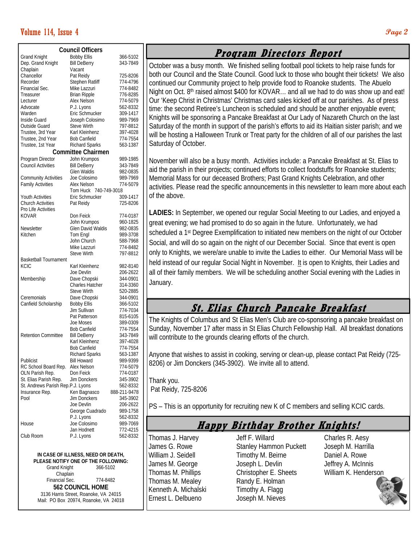#### **Volume 114, Issue 4 Page 2 Page 2 Page 2 Page 2 Page 2 Page 2 Page 2 Page 2 Page 2 Page 2 Page 2 Page 2 Page 2 Page 2 Page 2 Page 2 Page 2 Page 2 Page 2 Page 2 Page 2 Page 2 P**

| <b>Council Officers</b>           |                                  |                      |
|-----------------------------------|----------------------------------|----------------------|
| <b>Grand Knight</b>               | <b>Bobby Ellis</b>               | 366-5102             |
| Dep. Grand Knight                 | <b>Bill DeBerry</b>              | 343-7849             |
| Chaplain                          | Vacant                           |                      |
| Chancellor                        | Pat Reidy                        | 725-8206             |
| Recorder                          | Stephen Ratliff                  | 774-4796             |
| Financial Sec.                    | Mike Lazzuri                     | 774-8482             |
| Treasurer                         | <b>Brian Ripple</b>              | 776-8285             |
| Lecturer                          | Alex Nelson                      | 774-5079             |
| Advocate                          | P.J. Lyons                       | 562-8332             |
| Warden                            | Eric Schmucker                   | 309-1417             |
| Inside Guard                      | Joseph Colosimo                  | 989-7969             |
| Outside Guard                     | <b>Steve Wirth</b>               | 797-8812             |
| Trustee, 3rd Year                 | Karl Kleinhenz                   | 397-4028             |
| Trustee, 2nd Year                 | <b>Bob Canfield</b>              | 774-7554             |
| Trustee, 1st Year                 | <b>Richard Sparks</b>            | 563-1387             |
| <b>Committee Chairmen</b>         |                                  |                      |
| Program Director                  | John Krumpos                     | 989-1985             |
| <b>Council Activities</b>         | <b>Bill DeBerry</b>              | 343-7849             |
|                                   | Glen Waldis                      | 982-0835             |
| <b>Community Activities</b>       | Joe Colosimo                     | 989-7969             |
| <b>Family Activities</b>          | Alex Nelson                      | 774-5079             |
|                                   | Tom Huck<br>740-749-3018         |                      |
| Youth Activities                  | Eric Schmucker                   | 309-1417             |
| <b>Church Activities</b>          | Pat Reidy                        | 725-8206             |
| Pro Life Activities               |                                  |                      |
| KOVAR                             | Don Feick                        | 774-0187             |
|                                   | John Krumpos                     | 960-1825             |
| Newsletter                        | Glen David Waldis                | 982-0835             |
| Kitchen                           | Tom Engl                         | 989-3708             |
|                                   | John Church                      | 588-7968             |
|                                   | Mike Lazzuri                     | 774-8482             |
|                                   | <b>Steve Wirth</b>               | 797-8812             |
| Basketball Tournament             |                                  |                      |
| KCIC                              | Karl Kleinhenz                   | 982-8140             |
|                                   | Joe Devlin                       | 206-2622             |
| Membership                        | Dave Chopski                     | 344-0901             |
|                                   | <b>Charles Hatcher</b>           | 314-3360             |
|                                   | <b>Steve Wirth</b>               | 520-2885             |
| Ceremonials                       | Dave Chopski                     | 344-0901             |
| Canfield Scholarship              | <b>Bobby Ellis</b>               | 366-5102             |
|                                   | Jim Sullivan                     | 774-7034             |
|                                   | Pat Patterson                    | 815-6105             |
|                                   | Joe Moses<br><b>Bob Canfield</b> | 389-0309<br>774-7554 |
| <b>Retention Committee</b>        | <b>Bill DeBerry</b>              | 343-7849             |
|                                   | Karl Kleinhenz                   | 397-4028             |
|                                   | <b>Bob Canfield</b>              | 774-7554             |
|                                   | <b>Richard Sparks</b>            | 563-1387             |
| Publicist                         | <b>Bill Howard</b>               | 989-9399             |
| RC School Board Rep.              | Alex Nelson                      | 774-5079             |
| OLN Parish Rep.                   | Don Feick                        | 774-0187             |
| St. Elias Parish Rep.             | Jim Donckers                     | 345-3902             |
| St. Andrews Parish Rep.P.J. Lyons |                                  | 562-8332             |
| Insurance Rep.                    | Ken Bagnasco                     | 888-211-9478         |
| Pool                              | <b>Jim Donckers</b>              | 345-3902             |
|                                   | Joe Devlin                       | 206-2622             |
|                                   | George Cuadrado                  | 989-1758             |
|                                   | P.J. Lyons                       | 562-8332             |
| House                             | Joe Colosimo                     | 989-7069             |
|                                   | Jan Hodnett                      | 772-4215             |
| Club Room                         | P.J. Lyons                       | 562-8332             |

**IN CASE OF ILLNESS, NEED OR DEATH, PLEASE NOTIFY ONE OF THE FOLLOWING:**  Grand Knight Chaplain Financial Sec. 774-8482 **562 COUNCIL HOME**  3136 Harris Street, Roanoke, VA 24015 Mail: PO Box 20974, Roanoke, VA 24018

#### **Program Directors Report**

October was a busy month. We finished selling football pool tickets to help raise funds for both our Council and the State Council. Good luck to those who bought their tickets! We also continued our Community project to help provide food to Roanoke students. The Abuelo Night on Oct. 8<sup>th</sup> raised almost \$400 for KOVAR... and all we had to do was show up and eat! Our 'Keep Christ in Christmas' Christmas card sales kicked off at our parishes. As of press time: the second Retiree's Luncheon is scheduled and should be another enjoyable event; Knights will be sponsoring a Pancake Breakfast at Our Lady of Nazareth Church on the last Saturday of the month in support of the parish's efforts to aid its Haitian sister parish; and we will be hosting a Halloween Trunk or Treat party for the children of all of our parishes the last Saturday of October.

November will also be a busy month. Activities include: a Pancake Breakfast at St. Elias to aid the parish in their projects; continued efforts to collect foodstuffs for Roanoke students; Memorial Mass for our deceased Brothers; Past Grand Knights Celebration, and other activities. Please read the specific announcements in this newsletter to learn more about each of the above.

**LADIES:** In September, we opened our regular Social Meeting to our Ladies, and enjoyed a great evening; we had promised to do so again in the future. Unfortunately, we had scheduled a 1<sup>st</sup> Degree Exemplification to initiated new members on the night of our October Social, and will do so again on the night of our December Social. Since that event is open only to Knights, we were/are unable to invite the Ladies to either. Our Memorial Mass will be held instead of our regular Social Night in November. It is open to Knights, their Ladies and all of their family members. We will be scheduling another Social evening with the Ladies in January.

### **St. Elias Church Pancake Breakfast**

The Knights of Columbus and St Elias Men's Club are co-sponsoring a pancake breakfast on Sunday, November 17 after mass in St Elias Church Fellowship Hall. All breakfast donations will contribute to the grounds clearing efforts of the church.

Anyone that wishes to assist in cooking, serving or clean-up, please contact Pat Reidy (725- 8206) or Jim Donckers (345-3902). We invite all to attend.

Thank you. Pat Reidy, 725-8206

PS – This is an opportunity for recruiting new K of C members and selling KCIC cards.

#### **Happy Birthday Brother Knights!**

Thomas J. Harvey James G. Rowe William J. Seidell James M. George Thomas M. Phillips Thomas M. Mealey Kenneth A. Michalski Ernest L. Delbueno

Jeff F. Willard Stanley Hammon Puckett Timothy M. Beirne Joseph L. Devlin Christopher E. Sheets Randy E. Holman Timothy A. Flagg Joseph M. Nieves

Charles R. Aesy Joseph M. Harrilla Daniel A. Rowe Jeffrey A. McInnis William K. Henderson

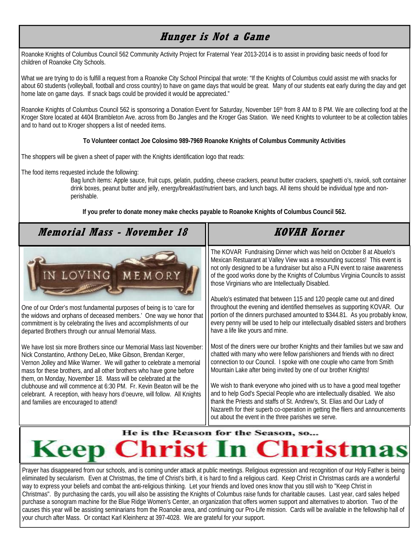## **Hunger is Not a Game**

Roanoke Knights of Columbus Council 562 Community Activity Project for Fraternal Year 2013-2014 is to assist in providing basic needs of food for children of Roanoke City Schools.

What we are trying to do is fulfill a request from a Roanoke City School Principal that wrote: "If the Knights of Columbus could assist me with snacks for about 60 students (volleyball, football and cross country) to have on game days that would be great. Many of our students eat early during the day and get home late on game days. If snack bags could be provided it would be appreciated."

Roanoke Knights of Columbus Council 562 is sponsoring a Donation Event for Saturday, November 16<sup>th</sup> from 8 AM to 8 PM. We are collecting food at the Kroger Store located at 4404 Brambleton Ave. across from Bo Jangles and the Kroger Gas Station. We need Knights to volunteer to be at collection tables and to hand out to Kroger shoppers a list of needed items.

#### **To Volunteer contact Joe Colosimo 989-7969 Roanoke Knights of Columbus Community Activities**

The shoppers will be given a sheet of paper with the Knights identification logo that reads:

The food items requested include the following:

Bag lunch items: Apple sauce, fruit cups, gelatin, pudding, cheese crackers, peanut butter crackers, spaghetti o's, ravioli, soft container drink boxes, peanut butter and jelly, energy/breakfast/nutrient bars, and lunch bags. All items should be individual type and nonperishable.

**If you prefer to donate money make checks payable to Roanoke Knights of Columbus Council 562.** 

#### **KOVAR Korner Memorial Mass - November 18**  The KOVAR Fundraising Dinner which was held on October 8 at Abuelo's Mexican Restuarant at Valley View was a resounding success! This event is not only designed to be a fundraiser but also a FUN event to raise awareness LOVING MEMOR of the good works done by the Knights of Columbus Virginia Councils to assist those Virginians who are Intellectually Disabled. Abuelo's estimated that between 115 and 120 people came out and dined throughout the evening and identified themselves as supporting KOVAR. Our One of our Order's most fundamental purposes of being is to 'care for portion of the dinners purchased amounted to \$344.81. As you probably know, the widows and orphans of deceased members.' One way we honor that every penny will be used to help our intellectually disabled sisters and brothers commitment is by celebrating the lives and accomplishments of our departed Brothers through our annual Memorial Mass. have a life like yours and mine. We have lost six more Brothers since our Memorial Mass last November: Most of the diners were our brother Knights and their families but we saw and chatted with many who were fellow parishioners and friends with no direct Nick Constantino, Anthony DeLeo, Mike Gibson, Brendan Kerger, Vernon Jolley and Mike Warner. We will gather to celebrate a memorial connection to our Council. I spoke with one couple who came from Smith mass for these brothers, and all other brothers who have gone before Mountain Lake after being invited by one of our brother Knights! them, on Monday, November 18. Mass will be celebrated at the clubhouse and will commence at 6:30 PM. Fr. Kevin Beaton will be the We wish to thank everyone who joined with us to have a good meal together celebrant. A reception, with heavy hors d'oeuvre, will follow. All Knights and to help God's Special People who are intellectually disabled. We also thank the Priests and staffs of St. Andrew's, St. Elias and Our Lady of and families are encouraged to attend! Nazareth for their superb co-operation in getting the fliers and announcements out about the event in the three parishes we serve. He is the Reason for the Season, so... **Keep Christ In Christm**

Prayer has disappeared from our schools, and is coming under attack at public meetings. Religious expression and recognition of our Holy Father is being eliminated by secularism. Even at Christmas, the time of Christ's birth, it is hard to find a religious card. Keep Christ in Christmas cards are a wonderful way to express your beliefs and combat the anti-religious thinking. Let your friends and loved ones know that you still wish to "Keep Christ in Christmas". By purchasing the cards, you will also be assisting the Knights of Columbus raise funds for charitable causes. Last year, card sales helped purchase a sonogram machine for the Blue Ridge Women's Center, an organization that offers women support and alternatives to abortion. Two of the causes this year will be assisting seminarians from the Roanoke area, and continuing our Pro-Life mission. Cards will be available in the fellowship hall of your church after Mass. Or contact Karl Kleinhenz at 397-4028. We are grateful for your support.